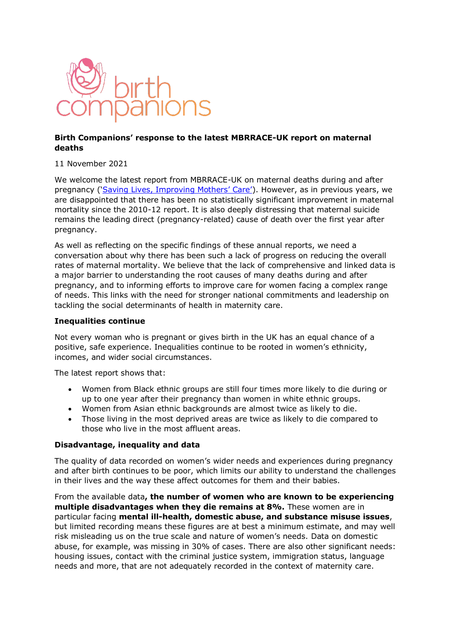

# **Birth Companions' response to the latest MBRRACE-UK report on maternal deaths**

11 November 2021

We welcome the latest report from MBRRACE-UK on maternal deaths during and after pregnancy (['Saving Lives, Improving Mothers' Care'](https://www.npeu.ox.ac.uk/assets/downloads/mbrrace-uk/reports/maternal-report-2021/MBRRACE-UK_Maternal_Report_2021_-_FINAL_-_WEB_VERSION.pdf)). However, as in previous years, we are disappointed that there has been no statistically significant improvement in maternal mortality since the 2010-12 report. It is also deeply distressing that maternal suicide remains the leading direct (pregnancy-related) cause of death over the first year after pregnancy.

As well as reflecting on the specific findings of these annual reports, we need a conversation about why there has been such a lack of progress on reducing the overall rates of maternal mortality. We believe that the lack of comprehensive and linked data is a major barrier to understanding the root causes of many deaths during and after pregnancy, and to informing efforts to improve care for women facing a complex range of needs. This links with the need for stronger national commitments and leadership on tackling the social determinants of health in maternity care.

#### **Inequalities continue**

Not every woman who is pregnant or gives birth in the UK has an equal chance of a positive, safe experience. Inequalities continue to be rooted in women's ethnicity, incomes, and wider social circumstances.

The latest report shows that:

- Women from Black ethnic groups are still four times more likely to die during or up to one year after their pregnancy than women in white ethnic groups.
- Women from Asian ethnic backgrounds are almost twice as likely to die.
- Those living in the most deprived areas are twice as likely to die compared to those who live in the most affluent areas.

# **Disadvantage, inequality and data**

The quality of data recorded on women's wider needs and experiences during pregnancy and after birth continues to be poor, which limits our ability to understand the challenges in their lives and the way these affect outcomes for them and their babies.

From the available data**, the number of women who are known to be experiencing multiple disadvantages when they die remains at 8%.** These women are in particular facing **mental ill-health, domestic abuse, and substance misuse issues**, but limited recording means these figures are at best a minimum estimate, and may well risk misleading us on the true scale and nature of women's needs. Data on domestic abuse, for example, was missing in 30% of cases. There are also other significant needs: housing issues, contact with the criminal justice system, immigration status, language needs and more, that are not adequately recorded in the context of maternity care.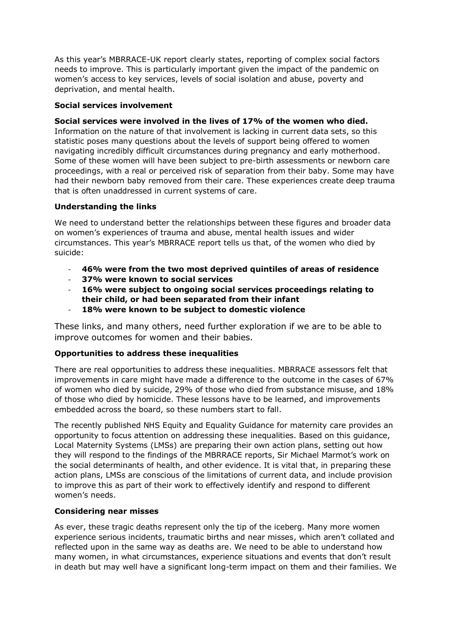As this year's MBRRACE-UK report clearly states, reporting of complex social factors needs to improve. This is particularly important given the impact of the pandemic on women's access to key services, levels of social isolation and abuse, poverty and deprivation, and mental health.

## **Social services involvement**

### **Social services were involved in the lives of 17% of the women who died.**

Information on the nature of that involvement is lacking in current data sets, so this statistic poses many questions about the levels of support being offered to women navigating incredibly difficult circumstances during pregnancy and early motherhood. Some of these women will have been subject to pre-birth assessments or newborn care proceedings, with a real or perceived risk of separation from their baby. Some may have had their newborn baby removed from their care. These experiences create deep trauma that is often unaddressed in current systems of care.

### **Understanding the links**

We need to understand better the relationships between these figures and broader data on women's experiences of trauma and abuse, mental health issues and wider circumstances. This year's MBRRACE report tells us that, of the women who died by suicide:

- **46% were from the two most deprived quintiles of areas of residence**
- **37% were known to social services**
- **16% were subject to ongoing social services proceedings relating to their child, or had been separated from their infant**
- **18% were known to be subject to domestic violence**

These links, and many others, need further exploration if we are to be able to improve outcomes for women and their babies.

#### **Opportunities to address these inequalities**

There are real opportunities to address these inequalities. MBRRACE assessors felt that improvements in care might have made a difference to the outcome in the cases of 67% of women who died by suicide, 29% of those who died from substance misuse, and 18% of those who died by homicide. These lessons have to be learned, and improvements embedded across the board, so these numbers start to fall.

The recently published NHS Equity and Equality Guidance for maternity care provides an opportunity to focus attention on addressing these inequalities. Based on this guidance, Local Maternity Systems (LMSs) are preparing their own action plans, setting out how they will respond to the findings of the MBRRACE reports, Sir Michael Marmot's work on the social determinants of health, and other evidence. It is vital that, in preparing these action plans, LMSs are conscious of the limitations of current data, and include provision to improve this as part of their work to effectively identify and respond to different women's needs.

#### **Considering near misses**

As ever, these tragic deaths represent only the tip of the iceberg. Many more women experience serious incidents, traumatic births and near misses, which aren't collated and reflected upon in the same way as deaths are. We need to be able to understand how many women, in what circumstances, experience situations and events that don't result in death but may well have a significant long-term impact on them and their families. We